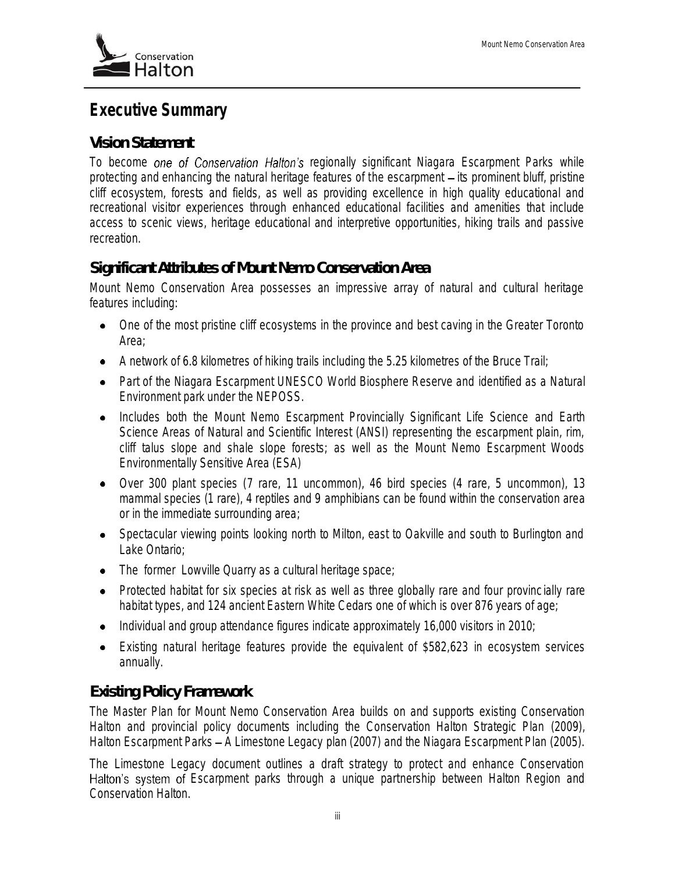# **Executive Summary**

#### *Vision Statement*

To become one of Conservation Halton's regionally significant Niagara Escarpment Parks while protecting and enhancing the natural heritage features of the escarpment - its prominent bluff, pristine *cliff ecosystem, forests and fields, as well as providing excellence in high quality educational and recreational visitor experiences through enhanced educational facilities and amenities that include access to scenic views, heritage educational and interpretive opportunities, hiking trails and passive recreation.* 

#### *Significant Attributes of Mount Nemo Conservation Area*

Mount Nemo Conservation Area possesses an impressive array of natural and cultural heritage features including:

- One of the most pristine cliff ecosystems in the province and best caving in the Greater Toronto Area;
- A network of 6.8 kilometres of hiking trails including the 5.25 kilometres of the Bruce Trail;
- Part of the Niagara Escarpment UNESCO World Biosphere Reserve and identified as a Natural Environment park under the NEPOSS.
- Includes both the Mount Nemo Escarpment Provincially Significant Life Science and Earth Science Areas of Natural and Scientific Interest (ANSI) representing the escarpment plain, rim, cliff talus slope and shale slope forests; as well as the Mount Nemo Escarpment Woods Environmentally Sensitive Area (ESA)
- Over 300 plant species (7 rare, 11 uncommon), 46 bird species (4 rare, 5 uncommon), 13 mammal species (1 rare), 4 reptiles and 9 amphibians can be found within the conservation area or in the immediate surrounding area;
- Spectacular viewing points looking north to Milton, east to Oakville and south to Burlington and Lake Ontario;
- The former Lowville Quarry as a cultural heritage space;
- Protected habitat for six species at risk as well as three globally rare and four provincially rare habitat types, and 124 ancient Eastern White Cedars one of which is over 876 years of age;
- Individual and group attendance figures indicate approximately 16,000 visitors in 2010;
- Existing natural heritage features provide the equivalent of \$582,623 in ecosystem services annually.

### *Existing Policy Framework*

The *Master Plan for Mount Nemo Conservation Area* builds on and supports existing Conservation Halton and provincial policy documents including the *Conservation Halton Strategic Plan* (2009)*, Halton Escarpment Parks A Limestone Legacy* plan (2007) and the *Niagara Escarpment Plan* (2005).

The *Limestone Legacy* document outlines a draft strategy to protect and enhance Conservation Halton's system of Escarpment parks through a unique partnership between Halton Region and Conservation Halton.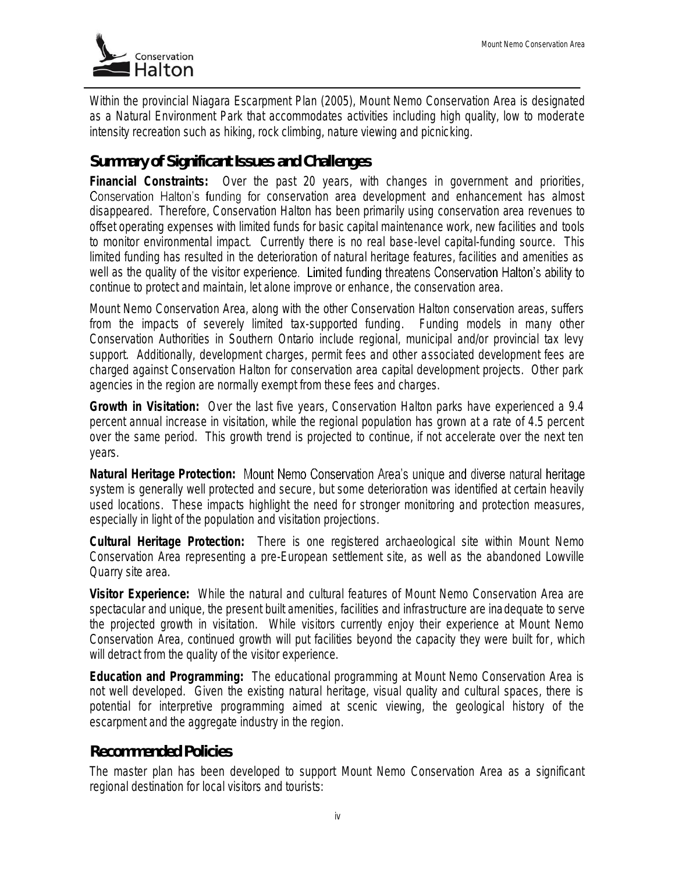

Within the provincial *Niagara Escarpment Plan (2005)*, Mount Nemo Conservation Area is designated as a Natural Environment Park that accommodates activities including high quality, low to moderate intensity recreation such as hiking, rock climbing, nature viewing and picnicking.

#### *Summary of Significant Issues and Challenges*

**Financial Constraints:** Over the past 20 years, with changes in government and priorities, Conservation Halton's funding for conservation area development and enhancement has almost disappeared. Therefore, Conservation Halton has been primarily using conservation area revenues to offset operating expenses with limited funds for basic capital maintenance work, new facilities and tools to monitor environmental impact. Currently there is no real base-level capital-funding source. This limited funding has resulted in the deterioration of natural heritage features, facilities and amenities as well as the quality of the visitor experience. Limited funding threatens Conservation Halton's ability to continue to protect and maintain, let alone improve or enhance, the conservation area.

Mount Nemo Conservation Area, along with the other Conservation Halton conservation areas, suffers from the impacts of severely limited tax-supported funding. Funding models in many other Conservation Authorities in Southern Ontario include regional, municipal and/or provincial tax levy support. Additionally, development charges, permit fees and other associated development fees are charged against Conservation Halton for conservation area capital development projects. Other park agencies in the region are normally exempt from these fees and charges.

**Growth in Visitation:** Over the last five years, Conservation Halton parks have experienced a 9.4 percent annual increase in visitation, while the regional population has grown at a rate of 4.5 percent over the same period. This growth trend is projected to continue, if not accelerate over the next ten years.

**Natural Heritage Protection:** system is generally well protected and secure, but some deterioration was identified at certain heavily used locations. These impacts highlight the need for stronger monitoring and protection measures, especially in light of the population and visitation projections.

**Cultural Heritage Protection:** There is one registered archaeological site within Mount Nemo Conservation Area representing a pre-European settlement site, as well as the abandoned Lowville Quarry site area.

**Visitor Experience:** While the natural and cultural features of Mount Nemo Conservation Area are spectacular and unique, the present built amenities, facilities and infrastructure are inadequate to serve the projected growth in visitation. While visitors currently enjoy their experience at Mount Nemo Conservation Area, continued growth will put facilities beyond the capacity they were built for, which will detract from the quality of the visitor experience.

**Education and Programming:** The educational programming at Mount Nemo Conservation Area is not well developed. Given the existing natural heritage, visual quality and cultural spaces, there is potential for interpretive programming aimed at scenic viewing, the geological history of the escarpment and the aggregate industry in the region.

#### *Recommended Policies*

The master plan has been developed to support Mount Nemo Conservation Area as a significant regional destination for local visitors and tourists: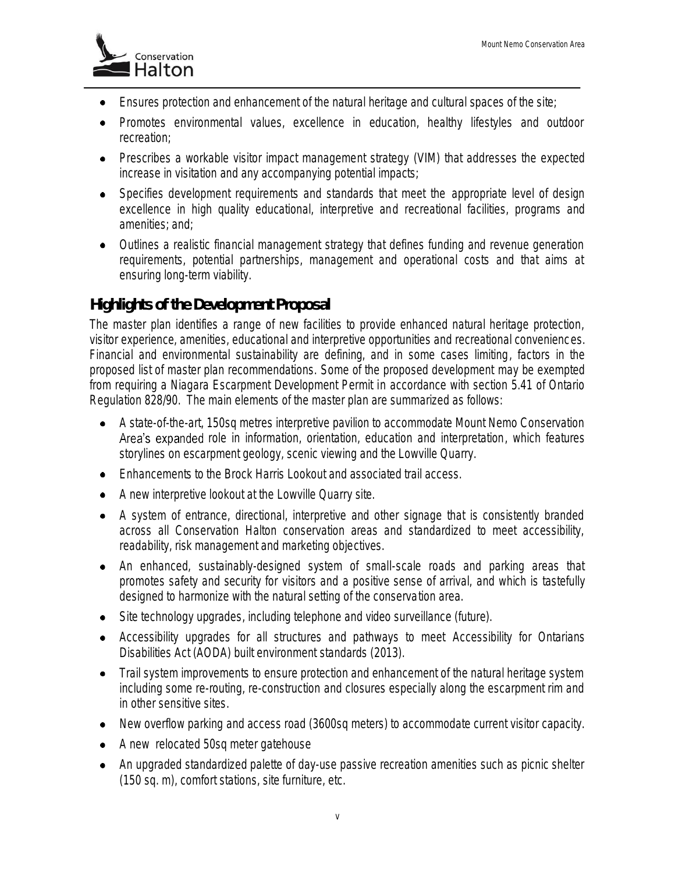

- Ensures protection and enhancement of the natural heritage and cultural spaces of the site;
- Promotes environmental values, excellence in education, healthy lifestyles and outdoor recreation;
- Prescribes a workable visitor impact management strategy (VIM) that addresses the expected increase in visitation and any accompanying potential impacts;
- Specifies development requirements and standards that meet the appropriate level of design excellence in high quality educational, interpretive and recreational facilities, programs and amenities; and;
- Outlines a realistic financial management strategy that defines funding and revenue generation requirements, potential partnerships, management and operational costs and that aims at ensuring long-term viability.

### *Highlights of the Development Proposal*

The master plan identifies a range of new facilities to provide enhanced natural heritage protection, visitor experience, amenities, educational and interpretive opportunities and recreational conveniences. Financial and environmental sustainability are defining, and in some cases limiting, factors in the proposed list of master plan recommendations. Some of the proposed development may be exempted from requiring a Niagara Escarpment Development Permit in accordance with section 5.41 of Ontario Regulation 828/90. The main elements of the master plan are summarized as follows:

- A state-of-the-art, 150sq metres interpretive pavilion to accommodate Mount Nemo Conservation Area's expanded role in information, orientation, education and interpretation, which features storylines on escarpment geology, scenic viewing and the Lowville Quarry.
- Enhancements to the Brock Harris Lookout and associated trail access.
- A new interpretive lookout at the Lowville Quarry site.
- A system of entrance, directional, interpretive and other signage that is consistently branded across all Conservation Halton conservation areas and standardized to meet accessibility, readability, risk management and marketing objectives.
- An enhanced, sustainably-designed system of small-scale roads and parking areas that promotes safety and security for visitors and a positive sense of arrival, and which is tastefully designed to harmonize with the natural setting of the conservation area.
- Site technology upgrades, including telephone and video surveillance (future).
- Accessibility upgrades for all structures and pathways to meet Accessibility for Ontarians Disabilities Act (AODA) built environment standards (2013).
- Trail system improvements to ensure protection and enhancement of the natural heritage system including some re-routing, re-construction and closures especially along the escarpment rim and in other sensitive sites.
- New overflow parking and access road (3600sq meters) to accommodate current visitor capacity.
- A new relocated 50sq meter gatehouse
- An upgraded standardized palette of day-use passive recreation amenities such as picnic shelter (150 sq. m), comfort stations, site furniture, etc.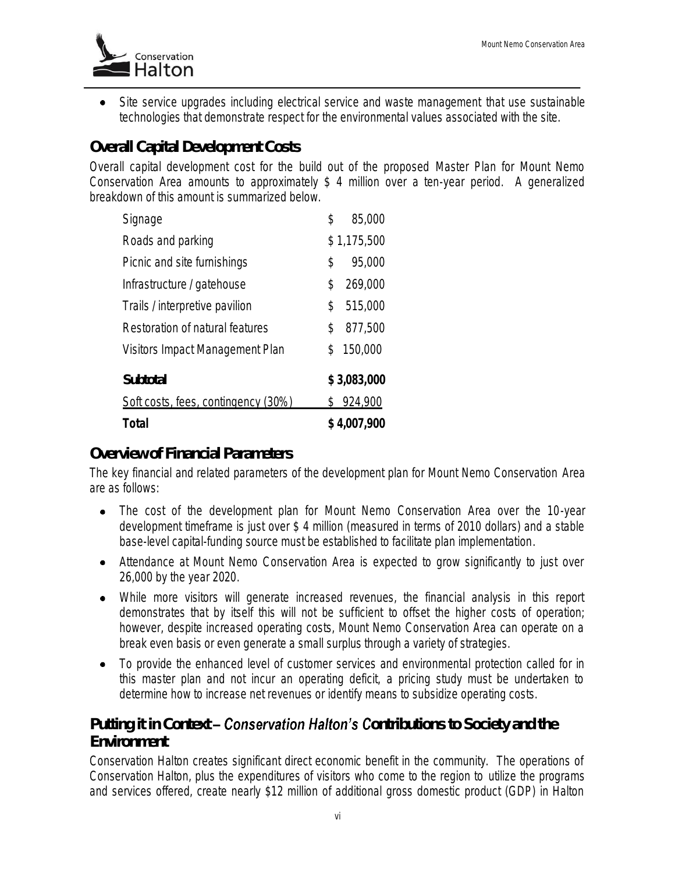

• Site service upgrades including electrical service and waste management that use sustainable technologies that demonstrate respect for the environmental values associated with the site.

# *Overall Capital Development Costs*

Overall capital development cost for the build out of the proposed *Master Plan for Mount Nemo Conservation Area* amounts to approximately \$ 4 million over a ten-year period. A generalized breakdown of this amount is summarized below.

| <b>Total</b>                        | \$4,007,900 |             |
|-------------------------------------|-------------|-------------|
| Soft costs, fees, contingency (30%) | S.          | 924,900     |
| <b>Subtotal</b>                     |             | \$3,083,000 |
| Visitors Impact Management Plan     | \$          | 150,000     |
| Restoration of natural features     | \$          | 877,500     |
| Trails / interpretive pavilion      | \$          | 515,000     |
| Infrastructure / gatehouse          | \$          | 269,000     |
| Picnic and site furnishings         | \$          | 95,000      |
| Roads and parking                   |             | \$1,175,500 |
| Signage                             | \$          | 85,000      |

#### *Overview of Financial Parameters*

The key financial and related parameters of the development plan for Mount Nemo Conservation Area are as follows:

- The cost of the development plan for Mount Nemo Conservation Area over the 10-year development timeframe is just over \$ 4 million (measured in terms of 2010 dollars) and a stable base-level capital-funding source must be established to facilitate plan implementation.
- Attendance at Mount Nemo Conservation Area is expected to grow significantly to just over 26,000 by the year 2020.
- While more visitors will generate increased revenues, the financial analysis in this report demonstrates that by itself this will not be sufficient to offset the higher costs of operation; however, despite increased operating costs, Mount Nemo Conservation Area can operate on a break even basis or even generate a small surplus through a variety of strategies.
- To provide the enhanced level of customer services and environmental protection called for in  $\bullet$ this master plan and not incur an operating deficit, a pricing study must be undertaken to determine how to increase net revenues or identify means to subsidize operating costs.

# **Putting it in Context – Conservation Halton's Contributions to Society and the** *Environment*

Conservation Halton creates significant direct economic benefit in the community. The operations of Conservation Halton, plus the expenditures of visitors who come to the region to utilize the programs and services offered, create nearly \$12 million of additional gross domestic product (GDP) in Halton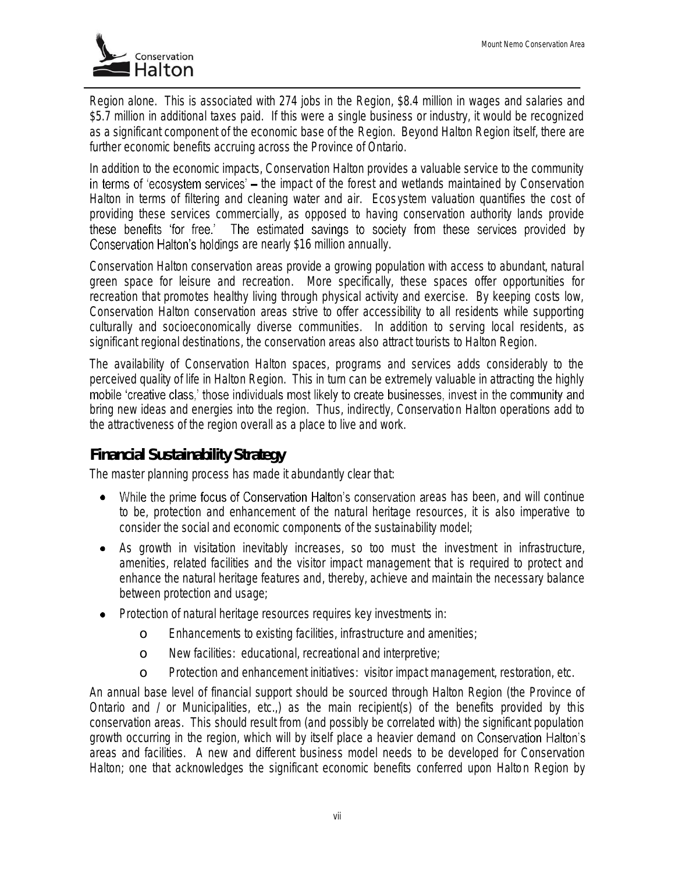

Region alone. This is associated with 274 jobs in the Region, \$8.4 million in wages and salaries and \$5.7 million in additional taxes paid. If this were a single business or industry, it would be recognized as a significant component of the economic base of the Region. Beyond Halton Region itself, there are further economic benefits accruing across the Province of Ontario.

In addition to the economic impacts, Conservation Halton provides a valuable service to the community in terms of 'ecosystem services' – the impact of the forest and wetlands maintained by Conservation Halton in terms of filtering and cleaning water and air. Ecosystem valuation quantifies the cost of providing these services commercially, as opposed to having conservation authority lands provide these benefits 'for free.' The estimated savings to society from these services provided by Conservation Halton's holdings are nearly \$16 million annually.

Conservation Halton conservation areas provide a growing population with access to abundant, natural green space for leisure and recreation. More specifically, these spaces offer opportunities for recreation that promotes healthy living through physical activity and exercise. By keeping costs low, Conservation Halton conservation areas strive to offer accessibility to all residents while supporting culturally and socioeconomically diverse communities. In addition to serving local residents, as significant regional destinations, the conservation areas also attract tourists to Halton Region.

The availability of Conservation Halton spaces, programs and services adds considerably to the perceived quality of life in Halton Region. This in turn can be extremely valuable in attracting the highly mobile 'creative class.' those individuals most likely to create businesses, invest in the community and bring new ideas and energies into the region. Thus, indirectly, Conservation Halton operations add to the attractiveness of the region overall as a place to live and work.

### *Financial Sustainability Strategy*

The master planning process has made it abundantly clear that:

- While the prime focus of Conservation Halton's conservation areas has been, and will continue to be, protection and enhancement of the natural heritage resources, it is also imperative to consider the social and economic components of the sustainability model;
- As growth in visitation inevitably increases, so too must the investment in infrastructure, amenities, related facilities and the visitor impact management that is required to protect and enhance the natural heritage features and, thereby, achieve and maintain the necessary balance between protection and usage;
- Protection of natural heritage resources requires key investments in:
	- o Enhancements to existing facilities, infrastructure and amenities;
	- o New facilities: educational, recreational and interpretive;
	- o Protection and enhancement initiatives: visitor impact management, restoration, etc.

An annual base level of financial support should be sourced through Halton Region (the Province of Ontario and / or Municipalities, etc.,) as the main recipient(s) of the benefits provided by this conservation areas. This should result from (and possibly be correlated with) the significant population growth occurring in the region, which will by itself place a heavier demand on areas and facilities. A new and different business model needs to be developed for Conservation Halton; one that acknowledges the significant economic benefits conferred upon Halton Region by